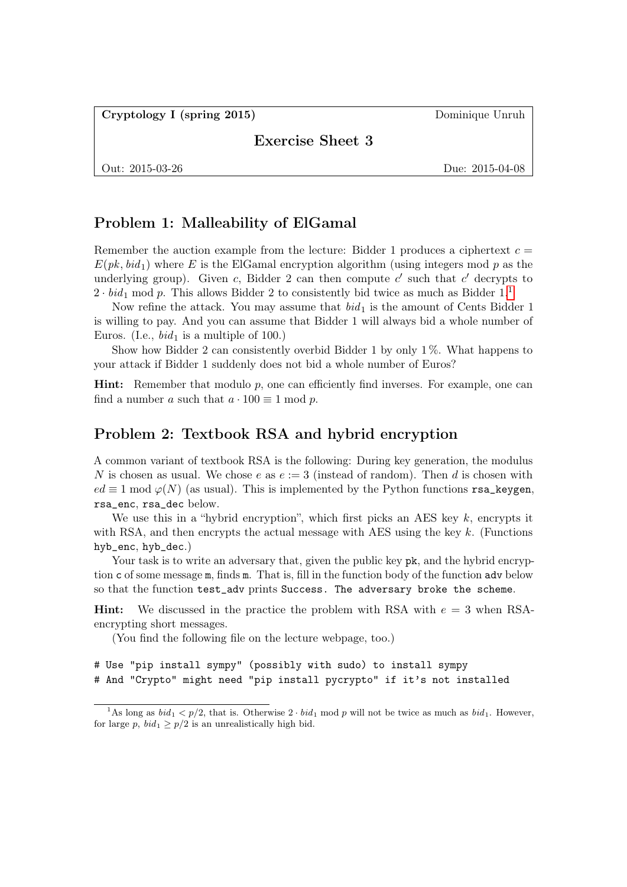Cryptology I (spring 2015) Dominique Unruh

Exercise Sheet 3

Out: 2015-03-26 Due: 2015-04-08

## Problem 1: Malleability of ElGamal

Remember the auction example from the lecture: Bidder 1 produces a ciphertext  $c =$  $E(pk, bid_1)$  where E is the ElGamal encryption algorithm (using integers mod p as the underlying group). Given c, Bidder 2 can then compute  $c'$  such that  $c'$  decrypts to  $2 \cdot bid_1 \mod p$  $2 \cdot bid_1 \mod p$  $2 \cdot bid_1 \mod p$ . This allows Bidder 2 to consistently bid twice as much as Bidder 1.<sup>1</sup>

Now refine the attack. You may assume that  $bid<sub>1</sub>$  is the amount of Cents Bidder 1 is willing to pay. And you can assume that Bidder 1 will always bid a whole number of Euros. (I.e.,  $bid_1$  is a multiple of 100.)

Show how Bidder 2 can consistently overbid Bidder 1 by only  $1\%$ . What happens to your attack if Bidder 1 suddenly does not bid a whole number of Euros?

**Hint:** Remember that modulo  $p$ , one can efficiently find inverses. For example, one can find a number a such that  $a \cdot 100 \equiv 1 \mod p$ .

## Problem 2: Textbook RSA and hybrid encryption

A common variant of textbook RSA is the following: During key generation, the modulus N is chosen as usual. We chose e as  $e := 3$  (instead of random). Then d is chosen with  $ed \equiv 1 \mod \varphi(N)$  (as usual). This is implemented by the Python functions rsa\_keygen, rsa\_enc, rsa\_dec below.

We use this in a "hybrid encryption", which first picks an AES key  $k$ , encrypts it with RSA, and then encrypts the actual message with AES using the key  $k$ . (Functions hyb\_enc, hyb\_dec.)

Your task is to write an adversary that, given the public key  $pk$ , and the hybrid encryption c of some message m, finds m. That is, fill in the function body of the function adv below so that the function test\_adv prints Success. The adversary broke the scheme.

**Hint:** We discussed in the practice the problem with RSA with  $e = 3$  when RSAencrypting short messages.

(You find the following file on the lecture webpage, too.)

```
# Use "pip install sympy" (possibly with sudo) to install sympy
# And "Crypto" might need "pip install pycrypto" if it's not installed
```
<span id="page-0-0"></span><sup>&</sup>lt;sup>1</sup>As long as  $bid_1 < p/2$ , that is. Otherwise  $2 \cdot bid_1$  mod p will not be twice as much as  $bid_1$ . However, for large p,  $bid_1 \geq p/2$  is an unrealistically high bid.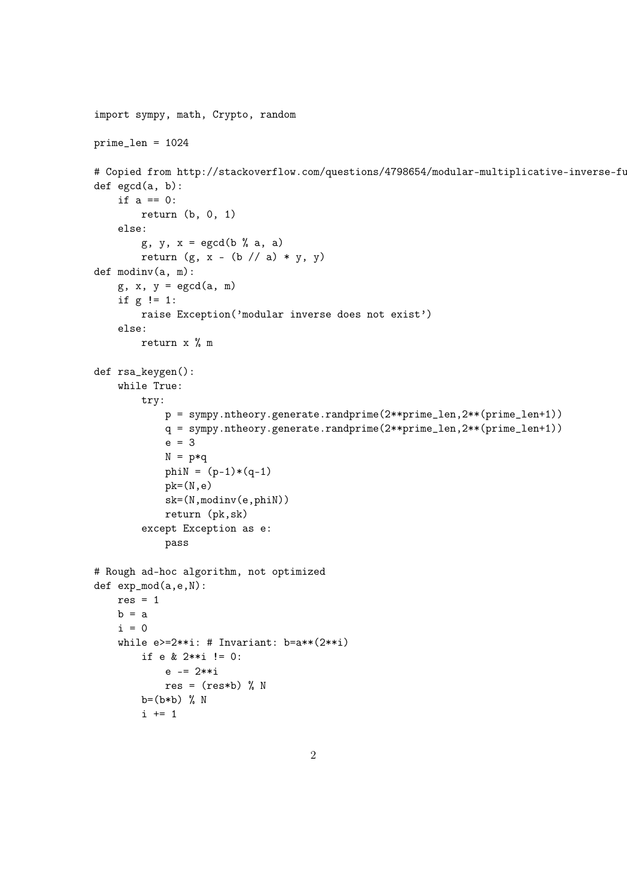```
import sympy, math, Crypto, random
prime_len = 1024
# Copied from http://stackoverflow.com/questions/4798654/modular-multiplicative-inverse-fu
def egcd(a, b):
    if a == 0:
        return (b, 0, 1)
    else:
        g, y, x = \text{egcd}(b \text{ % } a), a)
        return (g, x - (b) / a) * y, y)def modinv(a, m):
    g, x, y = \text{egcd}(a, m)if g != 1:
        raise Exception('modular inverse does not exist')
    else:
        return x % m
def rsa_keygen():
    while True:
        try:
            p = sympy.ntheory.generate.randprime(2**prime_len,2**(prime_len+1))
            q = sympy.ntheory.generate.randprime(2**prime_len,2**(prime_len+1))
            e = 3
            N = p * qphi = (p-1)*(q-1)pk=(N,e)
            sk=(N,modinv(e,phiN))
            return (pk,sk)
        except Exception as e:
            pass
# Rough ad-hoc algorithm, not optimized
def exp_mod(a,e,N):
    res = 1b = ai = 0while e>=2**i: # Invariant: b=a**(2**i)if e & 2**i != 0:
            e -= 2**i
            res = (res*b) % N
        b=(b*b) % N
        i + = 1
```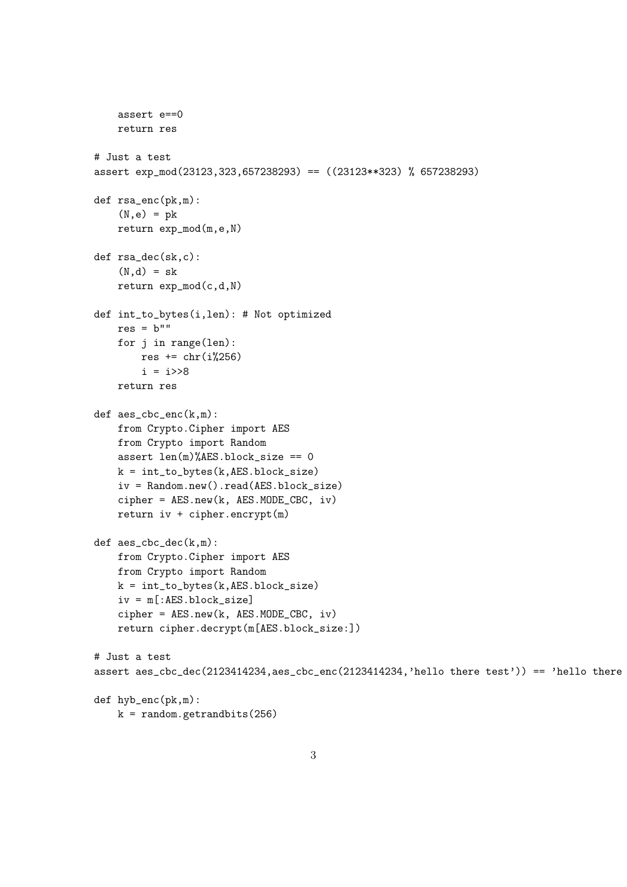```
assert e==0
    return res
# Just a test
assert exp_mod(23123,323,657238293) == ((23123**323) % 657238293)
def rsa_enc(pk,m):
    (N,e) = pkreturn exp_mod(m,e,N)
def rsa_dec(sk,c):
    (N,d) = skreturn exp_mod(c,d,N)
def int_to_bytes(i,len): # Not optimized
    res = b""for j in range(len):
        res += \text{chr}(i\text{\%}256)i = i \rightarrow 8return res
def aes_cbc_enc(k,m):
    from Crypto.Cipher import AES
    from Crypto import Random
    assert len(m)/AES.block_size == 0k = int_to_bytes(k, AES.block_size)iv = Random.new().read(AES.block_size)
    cipher = AES.new(k, AES.MODE_CBC, iv)
    return iv + cipher.encrypt(m)def aes_cbc_dec(k,m):
    from Crypto.Cipher import AES
    from Crypto import Random
    k = int_to_bytes(k, AES.block_size)iv = m[:AES.block_size]
    cipher = AES.new(k, AES.MODE_CBC, iv)
    return cipher.decrypt(m[AES.block_size:])
# Just a test
assert aes_cbc_dec(2123414234,aes_cbc_enc(2123414234,'hello there test')) == 'hello there
def hyb_enc(pk,m):
    k = random.getrandbits(256)
```